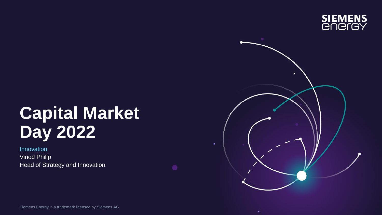

# **Capital Market Day 2022**

Innovation Vinod Philip Head of Strategy and Innovation

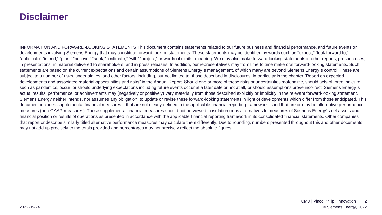### **Disclaimer**

INFORMATION AND FORWARD-LOOKING STATEMENTS This document contains statements related to our future business and financial performance, and future events or developments involving Siemens Energy that may constitute forward-looking statements. These statements may be identified by words such as "expect," "look forward to," "anticipate" "intend," "plan," "believe," "seek," "estimate," "will," "project," or words of similar meaning. We may also make forward-looking statements in other reports, prospectuses, in presentations, in material delivered to shareholders, and in press releases. In addition, our representatives may from time to time make oral forward-looking statements. Such statements are based on the current expectations and certain assumptions of Siemens Energy´s management, of which many are beyond Siemens Energy´s control. These are subject to a number of risks, uncertainties, and other factors, including, but not limited to, those described in disclosures, in particular in the chapter "Report on expected developments and associated material opportunities and risks" in the Annual Report. Should one or more of these risks or uncertainties materialize, should acts of force majeure, such as pandemics, occur, or should underlying expectations including future events occur at a later date or not at all, or should assumptions prove incorrect, Siemens Energy's actual results, performance, or achievements may (negatively or positively) vary materially from those described explicitly or implicitly in the relevant forward-looking statement. Siemens Energy neither intends, nor assumes any obligation, to update or revise these forward-looking statements in light of developments which differ from those anticipated. This document includes supplemental financial measures – that are not clearly defined in the applicable financial reporting framework – and that are or may be alternative performance measures (non-GAAP-measures). These supplemental financial measures should not be viewed in isolation or as alternatives to measures of Siemens Energy´s net assets and financial position or results of operations as presented in accordance with the applicable financial reporting framework in its consolidated financial statements. Other companies that report or describe similarly titled alternative performance measures may calculate them differently. Due to rounding, numbers presented throughout this and other documents may not add up precisely to the totals provided and percentages may not precisely reflect the absolute figures.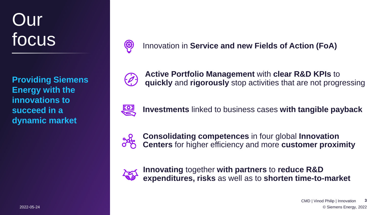# Our focus

**Providing Siemens Energy with the innovations to succeed in a dynamic market**



Innovation in **Service and new Fields of Action (FoA)**



**Active Portfolio Management** with **clear R&D KPIs** to **quickly** and **rigorously** stop activities that are not progressing



**Investments** linked to business cases **with tangible payback**



**Consolidating competences** in four global **Innovation Centers** for higher efficiency and more **customer proximity**



**Innovating** together **with partners** to **reduce R&D expenditures, risks** as well as to **shorten time-to-market**

2022-05-24 © Siemens Energy, 2022 CMD | Vinod Philip | Innovation **3**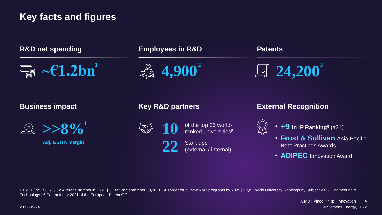## **Key facts and figures**

| <b>R&amp;D net spending</b><br>$\boxed{\text{Eq}}$ - $\epsilon$ 1.2bn | <b>Employees in R&amp;D</b><br>$\approx 4,900^{2}$                                                   | <b>Patents</b><br>$\boxed{2}$ 24,200 <sup>3</sup><br><b>External Recognition</b>                                                                                |  |
|-----------------------------------------------------------------------|------------------------------------------------------------------------------------------------------|-----------------------------------------------------------------------------------------------------------------------------------------------------------------|--|
| <b>Business impact</b>                                                | <b>Key R&amp;D partners</b>                                                                          |                                                                                                                                                                 |  |
| $\sqrt{2}$ >>8% <sup>4</sup><br>Adj. EBITA margin                     | of the top 25 world-<br>ranked universities <sup>5</sup><br>Start-ups<br>22<br>(external / internal) | $\bullet$ +9 in IP Ranking <sup>6</sup> (#21)<br><b>· Frost &amp; Sullivan Asia-Pacific</b><br><b>Best Practices Awards</b><br>• <b>ADIPEC</b> Innovation Award |  |

**1** FY21 (incl. SGRE) | **2** Average number in FY21 | **3** Status: September 30,2021 | **4** Target for all new R&D programs by 2025 | **5** QS World University Rankings by Subject 2022: Engineering & Technology | **6** Patent Index 2021 of the European Patent Office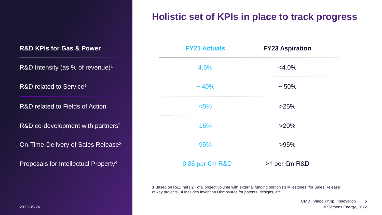# **Holistic set of KPIs in place to track progress**

R&D Intensity (as % of revenue)<sup>1</sup>

R&D related to Service<sup>1</sup>

R&D related to Fields of Action

R&D co-development with partners<sup>2</sup>

On-Time-Delivery of Sales Release<sup>3</sup>

Proposals for Intellectual Property<sup>4</sup>

| <b>FY21 Actuals</b>         | <b>FY23 Aspiration</b> |
|-----------------------------|------------------------|
| 4.5%                        | $<$ 4.0%               |
| $~10\%$                     | $~1.50\%$              |
| $< 5\%$                     | >25%                   |
| 15%                         | $>20\%$                |
| 95%                         | >95%                   |
| $0.86$ per $\epsilon$ m R&D | >1 per €m R&D          |

**1** Based on R&D net | **2** Total project volume with external funding portion | **3** Milestones "for Sales Release" of key projects | **4** Includes Invention Disclosures for patents, designs, etc.

2022-05-24 © Siemens Energy, 2022 CMD | Vinod Philip | Innovation **5**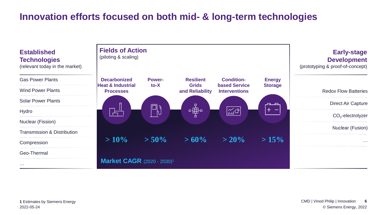# **Innovation efforts focused on both mid- & long-term technologies**

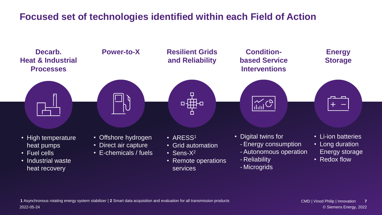# **Focused set of technologies identified within each Field of Action**

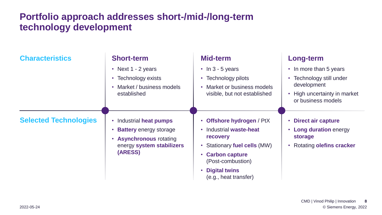# **Portfolio approach addresses short-/mid-/long-term technology development**

| <b>Characteristics</b>       | <b>Short-term</b>                                                                                                                           | Mid-term                                                  | <b>Long-term</b>                                   |
|------------------------------|---------------------------------------------------------------------------------------------------------------------------------------------|-----------------------------------------------------------|----------------------------------------------------|
|                              | • Next $1 - 2$ years                                                                                                                        | $\cdot$ In 3 - 5 years                                    | • In more than 5 years                             |
|                              | Technology exists<br>$\bullet$                                                                                                              | • Technology pilots                                       | Technology still under<br>$\bullet$<br>development |
|                              | Market / business models<br>$\bullet$<br>established                                                                                        | Market or business models<br>visible, but not established |                                                    |
|                              |                                                                                                                                             |                                                           | • High uncertainty in market<br>or business models |
| <b>Selected Technologies</b> | Industrial heat pumps<br>$\bullet$<br><b>Battery</b> energy storage<br><b>Asynchronous rotating</b><br>energy system stabilizers<br>(ARESS) | <b>Offshore hydrogen / PtX</b><br>$\bullet$               | • Direct air capture                               |
|                              |                                                                                                                                             | Industrial waste-heat<br><b>recovery</b>                  | • Long duration energy<br>storage                  |
|                              |                                                                                                                                             | • Stationary fuel cells (MW)                              | <b>Rotating olefins cracker</b><br>$\bullet$       |
|                              |                                                                                                                                             | <b>Carbon capture</b><br>$\bullet$<br>(Post-combustion)   |                                                    |
|                              |                                                                                                                                             | <b>Digital twins</b><br>(e.g., heat transfer)             |                                                    |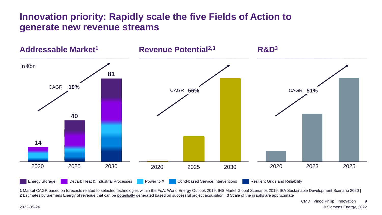### **Innovation priority: Rapidly scale the five Fields of Action to generate new revenue streams**



Energy Storage **Decarb Heat & Industrial Processes** Power to X Cond-based Service Interventions Resilient Grids and Reliability

**1** Market CAGR based on forecasts related to selected technologies within the FoA: World Energy Outlook 2019, IHS Markit Global Scenarios 2019, IEA Sustainable Development Scenario 2020 | **2** Estimates by Siemens Energy of revenue that can be potentially generated based on successful project acquisition | **3** Scale of the graphs are approximate

> © Siemens Energy, 2022 CMD | Vinod Philip | Innovation **9**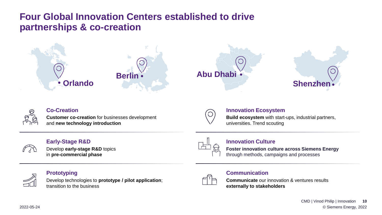## **Four Global Innovation Centers established to drive partnerships & co-creation**





#### **Co-Creation**

**Customer co-creation** for businesses development and **new technology introduction**

#### **Early-Stage R&D**

Develop **early-stage R&D** topics in **pre-commercial phase**



 $\bigcirc$ 

#### **Innovation Culture**

**Innovation Ecosystem**

universities. Trend scouting

**Foster innovation culture across Siemens Energy** through methods, campaigns and processes

**Build ecosystem** with start-ups, industrial partners,



#### **Prototyping**

Develop technologies to **prototype / pilot application**; transition to the business



#### **Communication**

**Communicate** our innovation & ventures results **externally to stakeholders**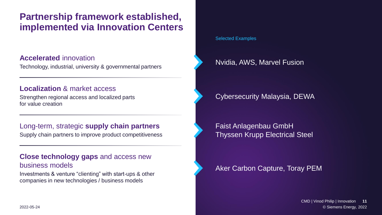## **Partnership framework established, implemented via Innovation Centers**

#### **Accelerated** innovation

Technology, industrial, university & governmental partners

#### **Localization** & market access

Strengthen regional access and localized parts for value creation

#### Long-term, strategic **supply chain partners**

Supply chain partners to improve product competitiveness

#### **Close technology gaps** and access new business models

Investments & venture "clienting" with start-ups & other companies in new technologies / business models

#### Selected Examples

### Nvidia, AWS, Marvel Fusion

### Cybersecurity Malaysia, DEWA

Faist Anlagenbau GmbH Thyssen Krupp Electrical Steel

### Aker Carbon Capture, Toray PEM

© Siemens Energy, 2022 CMD | Vinod Philip | Innovation **11**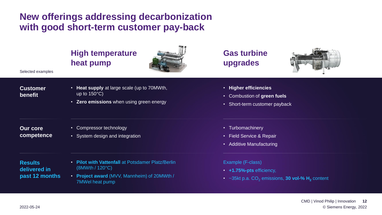### **New offerings addressing decarbonization with good short-term customer pay-back**

### **High temperature heat pump**



• **Heat supply** at large scale (up to 70MWth, up to 150°C)

• **Zero emissions** when using green energy

**Gas turbine upgrades**



- **Customer benefit**
- 
- **Our core competence**
- Compressor technology
- System design and integration

**Results delivered in past 12 months**

- **Pilot with Vattenfall** at Potsdamer Platz/Berlin (8MWth / 120°C)
- **Project award** (MVV, Mannheim) of 20MWth / 7MWel heat pump
- **Higher efficiencies**
- Combustion of **green fuels**
- Short-term customer payback
- Turbomachinery
- Field Service & Repair
- Additive Manufacturing

#### Example (F-class)

- **+1.75%-pts** efficiency,
- ~35kt p.a. CO<sub>2</sub> emissions, **30 vol-% H**<sub>2</sub> content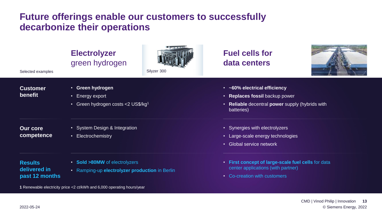### **Future offerings enable our customers to successfully decarbonize their operations**

| Selected examples                               | <b>Electrolyzer</b><br>green hydrogen                                  | Silyzer 300 | <b>Fuel cells for</b><br>data centers                                      |  |  |
|-------------------------------------------------|------------------------------------------------------------------------|-------------|----------------------------------------------------------------------------|--|--|
| <b>Customer</b><br>benefit                      | • Green hydrogen                                                       |             | • ~60% electrical efficiency                                               |  |  |
| • Energy export                                 |                                                                        |             | • Replaces fossil backup power                                             |  |  |
|                                                 | Green hydrogen costs <2 US\$/kg1<br>$\bullet$                          |             | Reliable decentral power supply (hybrids with<br>$\bullet$ .<br>batteries) |  |  |
| <b>Our core</b>                                 | • System Design & Integration                                          |             | • Synergies with electrolyzers                                             |  |  |
| competence                                      | • Electrochemistry                                                     |             | • Large-scale energy technologies                                          |  |  |
|                                                 |                                                                        |             | • Global service network                                                   |  |  |
| • Sold >80MW of electrolyzers<br><b>Results</b> |                                                                        |             | • First concept of large-scale fuel cells for data                         |  |  |
| delivered in                                    | • Ramping-up electrolyzer production in Berlin                         |             | center applications (with partner)                                         |  |  |
| past 12 months                                  |                                                                        |             | • Co-creation with customers                                               |  |  |
|                                                 | 1 Renewable electricity price <2 ct/kWh and 6,000 operating hours/year |             |                                                                            |  |  |